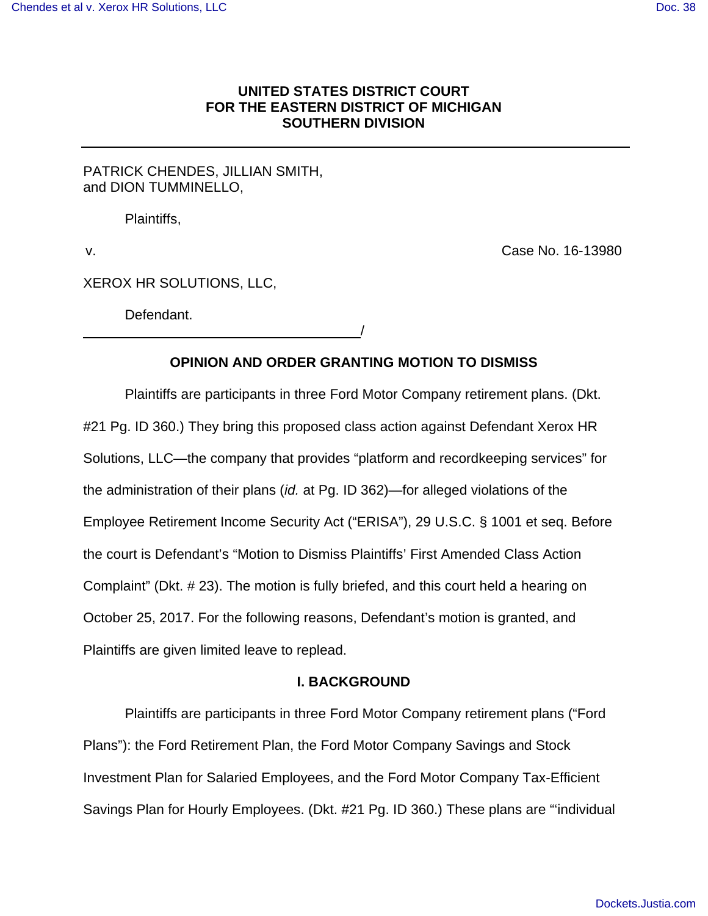# **UNITED STATES DISTRICT COURT FOR THE EASTERN DISTRICT OF MICHIGAN SOUTHERN DIVISION**

# PATRICK CHENDES, JILLIAN SMITH, and DION TUMMINELLO,

Plaintiffs,

v. Case No. 16-13980

XEROX HR SOLUTIONS, LLC,

Defendant.

 $\overline{\phantom{a}}$ 

# **OPINION AND ORDER GRANTING MOTION TO DISMISS**

 Plaintiffs are participants in three Ford Motor Company retirement plans. (Dkt. #21 Pg. ID 360.) They bring this proposed class action against Defendant Xerox HR Solutions, LLC—the company that provides "platform and recordkeeping services" for the administration of their plans (id. at Pg. ID 362)—for alleged violations of the Employee Retirement Income Security Act ("ERISA"), 29 U.S.C. § 1001 et seq. Before the court is Defendant's "Motion to Dismiss Plaintiffs' First Amended Class Action Complaint" (Dkt. # 23). The motion is fully briefed, and this court held a hearing on October 25, 2017. For the following reasons, Defendant's motion is granted, and Plaintiffs are given limited leave to replead.

## **I. BACKGROUND**

 Plaintiffs are participants in three Ford Motor Company retirement plans ("Ford Plans"): the Ford Retirement Plan, the Ford Motor Company Savings and Stock Investment Plan for Salaried Employees, and the Ford Motor Company Tax-Efficient Savings Plan for Hourly Employees. (Dkt. #21 Pg. ID 360.) These plans are "'individual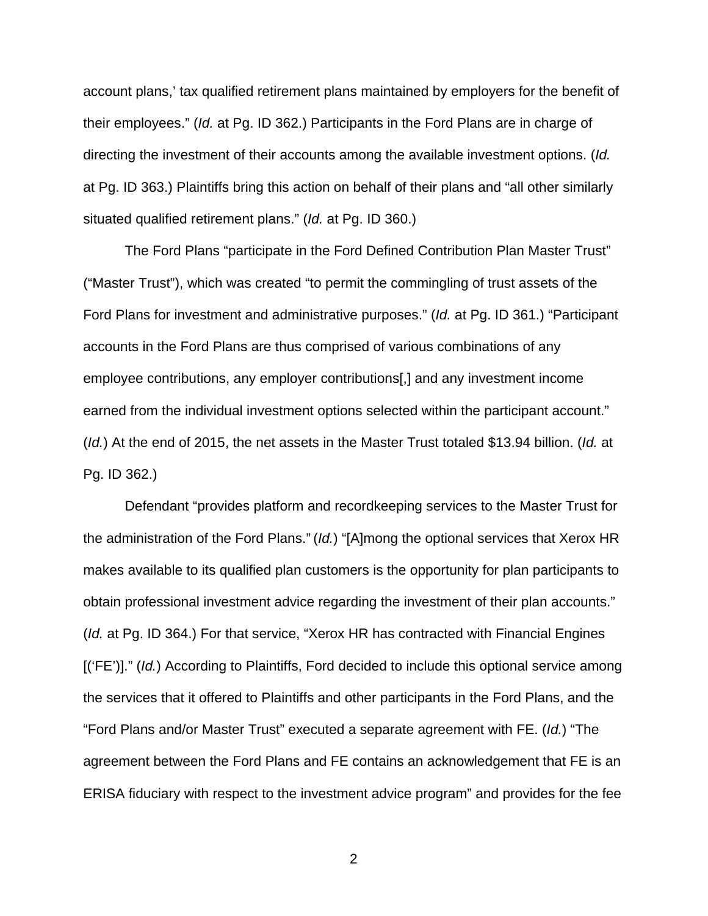account plans,' tax qualified retirement plans maintained by employers for the benefit of their employees." (Id. at Pg. ID 362.) Participants in the Ford Plans are in charge of directing the investment of their accounts among the available investment options. (Id. at Pg. ID 363.) Plaintiffs bring this action on behalf of their plans and "all other similarly situated qualified retirement plans." (Id. at Pg. ID 360.)

 The Ford Plans "participate in the Ford Defined Contribution Plan Master Trust" ("Master Trust"), which was created "to permit the commingling of trust assets of the Ford Plans for investment and administrative purposes." (Id. at Pg. ID 361.) "Participant accounts in the Ford Plans are thus comprised of various combinations of any employee contributions, any employer contributions[,] and any investment income earned from the individual investment options selected within the participant account." (Id.) At the end of 2015, the net assets in the Master Trust totaled \$13.94 billion. (Id. at Pg. ID 362.)

 Defendant "provides platform and recordkeeping services to the Master Trust for the administration of the Ford Plans." (Id.) "[A]mong the optional services that Xerox HR makes available to its qualified plan customers is the opportunity for plan participants to obtain professional investment advice regarding the investment of their plan accounts." (*Id.* at Pg. ID 364.) For that service, "Xerox HR has contracted with Financial Engines [('FE')]." (Id.) According to Plaintiffs, Ford decided to include this optional service among the services that it offered to Plaintiffs and other participants in the Ford Plans, and the "Ford Plans and/or Master Trust" executed a separate agreement with FE. (Id.) "The agreement between the Ford Plans and FE contains an acknowledgement that FE is an ERISA fiduciary with respect to the investment advice program" and provides for the fee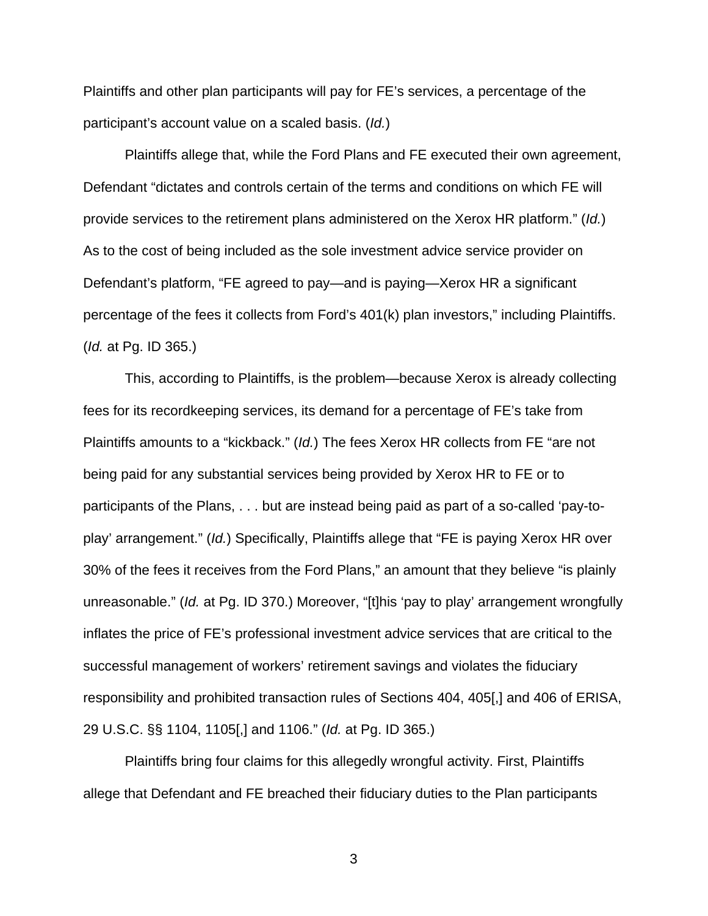Plaintiffs and other plan participants will pay for FE's services, a percentage of the participant's account value on a scaled basis. (Id.)

 Plaintiffs allege that, while the Ford Plans and FE executed their own agreement, Defendant "dictates and controls certain of the terms and conditions on which FE will provide services to the retirement plans administered on the Xerox HR platform." (Id.) As to the cost of being included as the sole investment advice service provider on Defendant's platform, "FE agreed to pay—and is paying—Xerox HR a significant percentage of the fees it collects from Ford's 401(k) plan investors," including Plaintiffs. (Id. at Pg. ID 365.)

 This, according to Plaintiffs, is the problem—because Xerox is already collecting fees for its recordkeeping services, its demand for a percentage of FE's take from Plaintiffs amounts to a "kickback." (Id.) The fees Xerox HR collects from FE "are not being paid for any substantial services being provided by Xerox HR to FE or to participants of the Plans, . . . but are instead being paid as part of a so-called 'pay-toplay' arrangement." (Id.) Specifically, Plaintiffs allege that "FE is paying Xerox HR over 30% of the fees it receives from the Ford Plans," an amount that they believe "is plainly unreasonable." (Id. at Pg. ID 370.) Moreover, "[t]his 'pay to play' arrangement wrongfully inflates the price of FE's professional investment advice services that are critical to the successful management of workers' retirement savings and violates the fiduciary responsibility and prohibited transaction rules of Sections 404, 405[,] and 406 of ERISA, 29 U.S.C. §§ 1104, 1105[,] and 1106." (Id. at Pg. ID 365.)

 Plaintiffs bring four claims for this allegedly wrongful activity. First, Plaintiffs allege that Defendant and FE breached their fiduciary duties to the Plan participants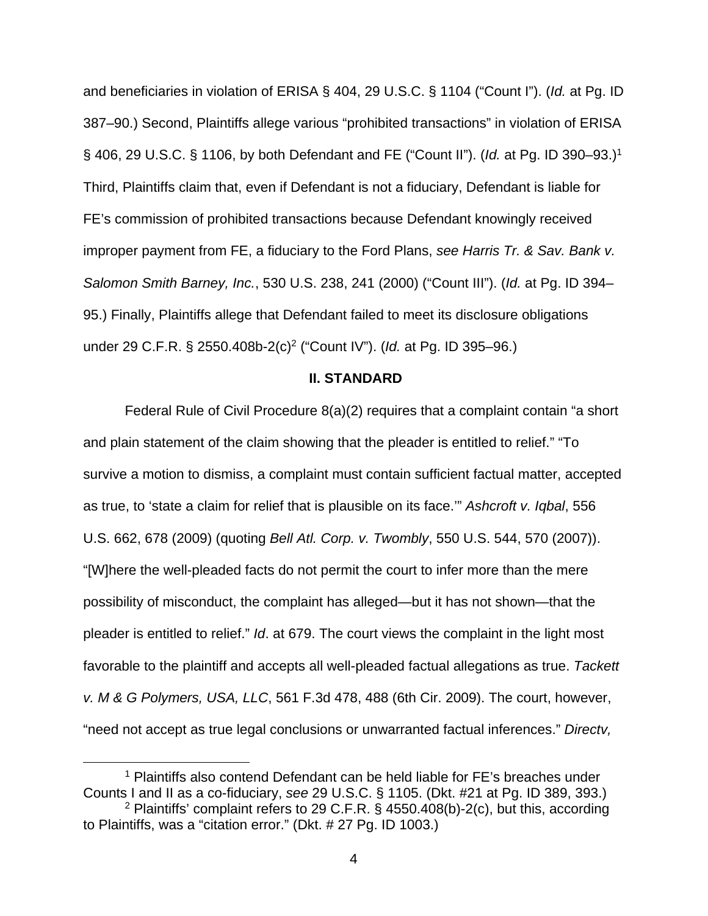and beneficiaries in violation of ERISA § 404, 29 U.S.C. § 1104 ("Count I"). (Id. at Pg. ID 387–90.) Second, Plaintiffs allege various "prohibited transactions" in violation of ERISA § 406, 29 U.S.C. § 1106, by both Defendant and FE ("Count II"). (*Id.* at Pg. ID 390–93.)<sup>1</sup> Third, Plaintiffs claim that, even if Defendant is not a fiduciary, Defendant is liable for FE's commission of prohibited transactions because Defendant knowingly received improper payment from FE, a fiduciary to the Ford Plans, see Harris Tr. & Sav. Bank v. Salomon Smith Barney, Inc., 530 U.S. 238, 241 (2000) ("Count III"). (Id. at Pg. ID 394– 95.) Finally, Plaintiffs allege that Defendant failed to meet its disclosure obligations under 29 C.F.R. § 2550.408b-2(c)<sup>2</sup> ("Count IV"). (Id. at Pg. ID 395-96.)

#### **II. STANDARD**

Federal Rule of Civil Procedure 8(a)(2) requires that a complaint contain "a short and plain statement of the claim showing that the pleader is entitled to relief." "To survive a motion to dismiss, a complaint must contain sufficient factual matter, accepted as true, to 'state a claim for relief that is plausible on its face.'" Ashcroft v. Iqbal, 556 U.S. 662, 678 (2009) (quoting Bell Atl. Corp. v. Twombly, 550 U.S. 544, 570 (2007)). "[W]here the well-pleaded facts do not permit the court to infer more than the mere possibility of misconduct, the complaint has alleged—but it has not shown—that the pleader is entitled to relief." Id. at 679. The court views the complaint in the light most favorable to the plaintiff and accepts all well-pleaded factual allegations as true. Tackett v. M & G Polymers, USA, LLC, 561 F.3d 478, 488 (6th Cir. 2009). The court, however, "need not accept as true legal conclusions or unwarranted factual inferences." Directv,

 $\overline{a}$ 

<sup>&</sup>lt;sup>1</sup> Plaintiffs also contend Defendant can be held liable for FE's breaches under Counts I and II as a co-fiduciary, see 29 U.S.C. § 1105. (Dkt. #21 at Pg. ID 389, 393.)

<sup>&</sup>lt;sup>2</sup> Plaintiffs' complaint refers to 29 C.F.R. § 4550.408(b)-2(c), but this, according to Plaintiffs, was a "citation error." (Dkt. # 27 Pg. ID 1003.)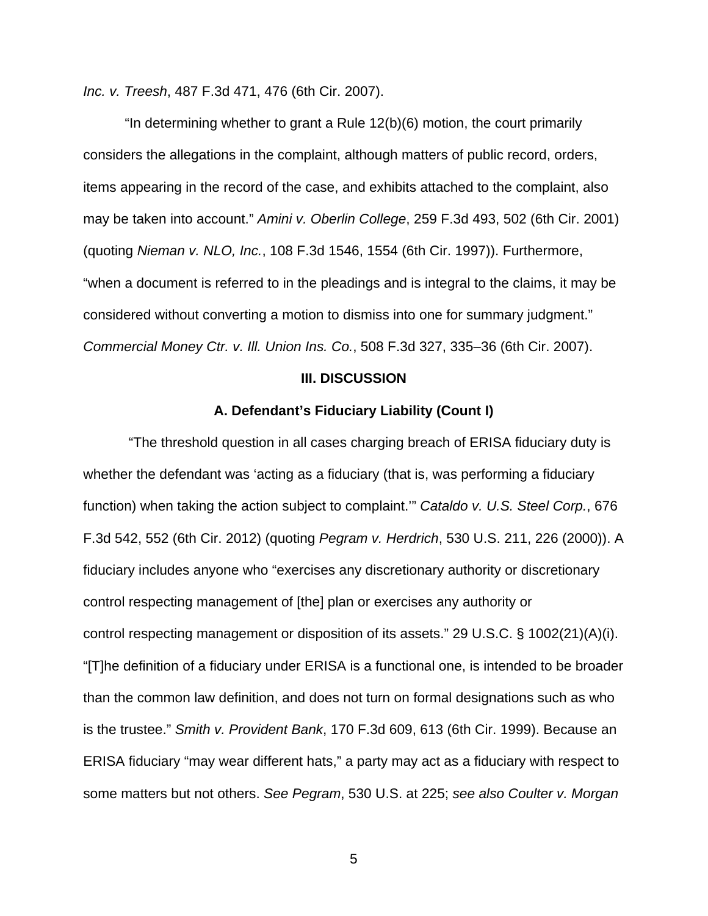Inc. v. Treesh, 487 F.3d 471, 476 (6th Cir. 2007).

 "In determining whether to grant a Rule 12(b)(6) motion, the court primarily considers the allegations in the complaint, although matters of public record, orders, items appearing in the record of the case, and exhibits attached to the complaint, also may be taken into account." Amini v. Oberlin College, 259 F.3d 493, 502 (6th Cir. 2001) (quoting Nieman v. NLO, Inc., 108 F.3d 1546, 1554 (6th Cir. 1997)). Furthermore, "when a document is referred to in the pleadings and is integral to the claims, it may be considered without converting a motion to dismiss into one for summary judgment." Commercial Money Ctr. v. Ill. Union Ins. Co., 508 F.3d 327, 335–36 (6th Cir. 2007).

#### **III. DISCUSSION**

#### **A. Defendant's Fiduciary Liability (Count I)**

"The threshold question in all cases charging breach of ERISA fiduciary duty is whether the defendant was 'acting as a fiduciary (that is, was performing a fiduciary function) when taking the action subject to complaint." Cataldo v. U.S. Steel Corp., 676 F.3d 542, 552 (6th Cir. 2012) (quoting Pegram v. Herdrich, 530 U.S. 211, 226 (2000)). A fiduciary includes anyone who "exercises any discretionary authority or discretionary control respecting management of [the] plan or exercises any authority or control respecting management or disposition of its assets." 29 U.S.C. § 1002(21)(A)(i). "[T]he definition of a fiduciary under ERISA is a functional one, is intended to be broader than the common law definition, and does not turn on formal designations such as who is the trustee." Smith v. Provident Bank, 170 F.3d 609, 613 (6th Cir. 1999). Because an ERISA fiduciary "may wear different hats," a party may act as a fiduciary with respect to some matters but not others. See Pegram, 530 U.S. at 225; see also Coulter v. Morgan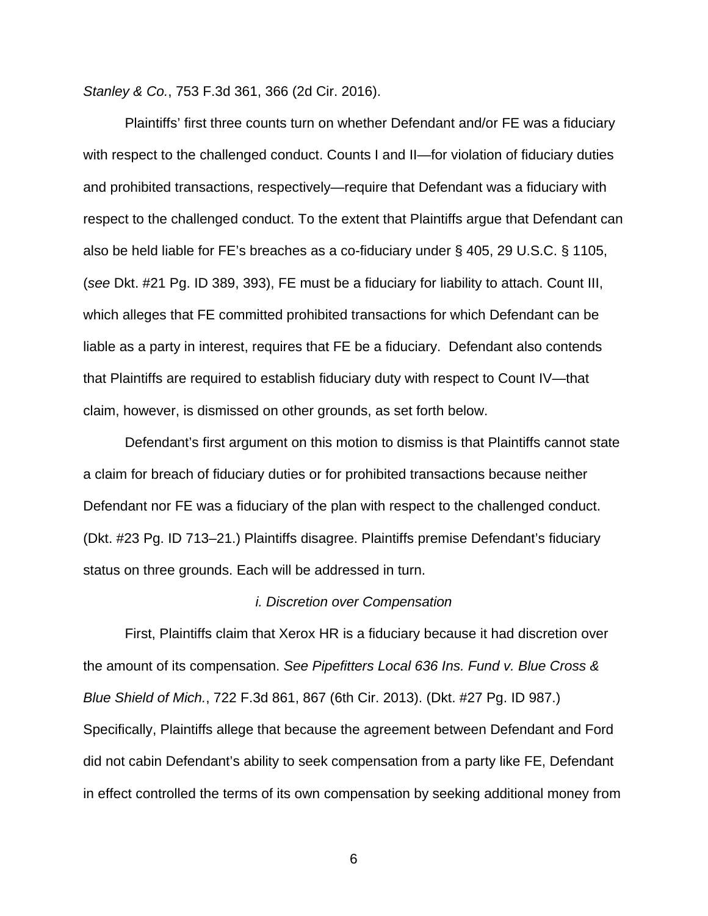Stanley & Co., 753 F.3d 361, 366 (2d Cir. 2016).

 Plaintiffs' first three counts turn on whether Defendant and/or FE was a fiduciary with respect to the challenged conduct. Counts I and II—for violation of fiduciary duties and prohibited transactions, respectively—require that Defendant was a fiduciary with respect to the challenged conduct. To the extent that Plaintiffs argue that Defendant can also be held liable for FE's breaches as a co-fiduciary under § 405, 29 U.S.C. § 1105, (see Dkt. #21 Pg. ID 389, 393), FE must be a fiduciary for liability to attach. Count III, which alleges that FE committed prohibited transactions for which Defendant can be liable as a party in interest, requires that FE be a fiduciary. Defendant also contends that Plaintiffs are required to establish fiduciary duty with respect to Count IV—that claim, however, is dismissed on other grounds, as set forth below.

 Defendant's first argument on this motion to dismiss is that Plaintiffs cannot state a claim for breach of fiduciary duties or for prohibited transactions because neither Defendant nor FE was a fiduciary of the plan with respect to the challenged conduct. (Dkt. #23 Pg. ID 713–21.) Plaintiffs disagree. Plaintiffs premise Defendant's fiduciary status on three grounds. Each will be addressed in turn.

#### i. Discretion over Compensation

 First, Plaintiffs claim that Xerox HR is a fiduciary because it had discretion over the amount of its compensation. See Pipefitters Local 636 Ins. Fund v. Blue Cross & Blue Shield of Mich., 722 F.3d 861, 867 (6th Cir. 2013). (Dkt. #27 Pg. ID 987.) Specifically, Plaintiffs allege that because the agreement between Defendant and Ford did not cabin Defendant's ability to seek compensation from a party like FE, Defendant in effect controlled the terms of its own compensation by seeking additional money from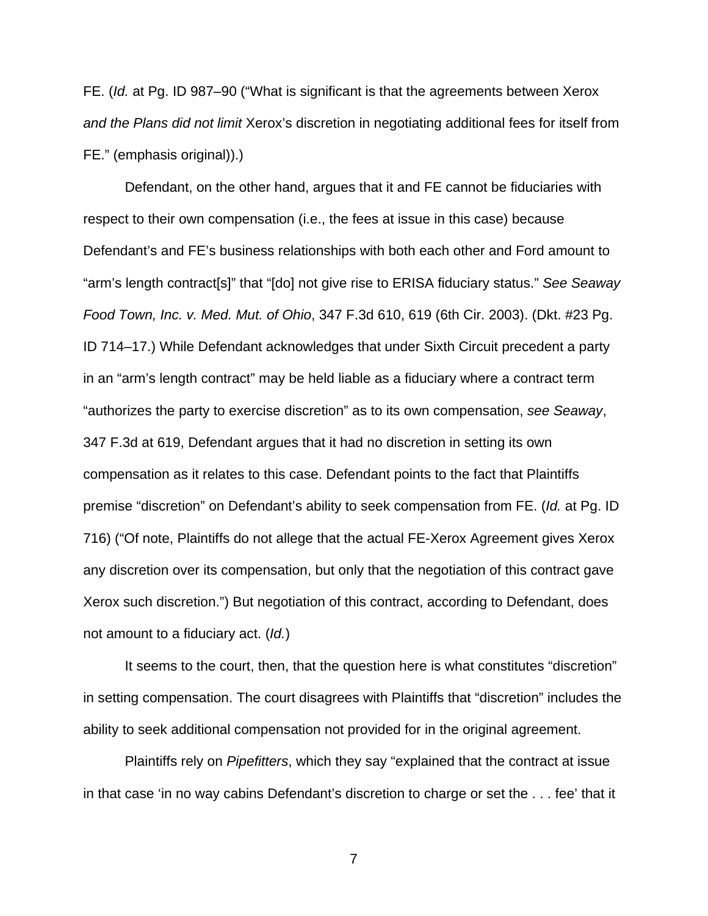FE. (Id. at Pg. ID 987–90 ("What is significant is that the agreements between Xerox and the Plans did not limit Xerox's discretion in negotiating additional fees for itself from FE." (emphasis original)).)

 Defendant, on the other hand, argues that it and FE cannot be fiduciaries with respect to their own compensation (i.e., the fees at issue in this case) because Defendant's and FE's business relationships with both each other and Ford amount to "arm's length contract[s]" that "[do] not give rise to ERISA fiduciary status." See Seaway Food Town, Inc. v. Med. Mut. of Ohio, 347 F.3d 610, 619 (6th Cir. 2003). (Dkt. #23 Pg. ID 714–17.) While Defendant acknowledges that under Sixth Circuit precedent a party in an "arm's length contract" may be held liable as a fiduciary where a contract term "authorizes the party to exercise discretion" as to its own compensation, see Seaway, 347 F.3d at 619, Defendant argues that it had no discretion in setting its own compensation as it relates to this case. Defendant points to the fact that Plaintiffs premise "discretion" on Defendant's ability to seek compensation from FE. (Id. at Pg. ID 716) ("Of note, Plaintiffs do not allege that the actual FE-Xerox Agreement gives Xerox any discretion over its compensation, but only that the negotiation of this contract gave Xerox such discretion.") But negotiation of this contract, according to Defendant, does not amount to a fiduciary act. (Id.)

 It seems to the court, then, that the question here is what constitutes "discretion" in setting compensation. The court disagrees with Plaintiffs that "discretion" includes the ability to seek additional compensation not provided for in the original agreement.

 Plaintiffs rely on Pipefitters, which they say "explained that the contract at issue in that case 'in no way cabins Defendant's discretion to charge or set the . . . fee' that it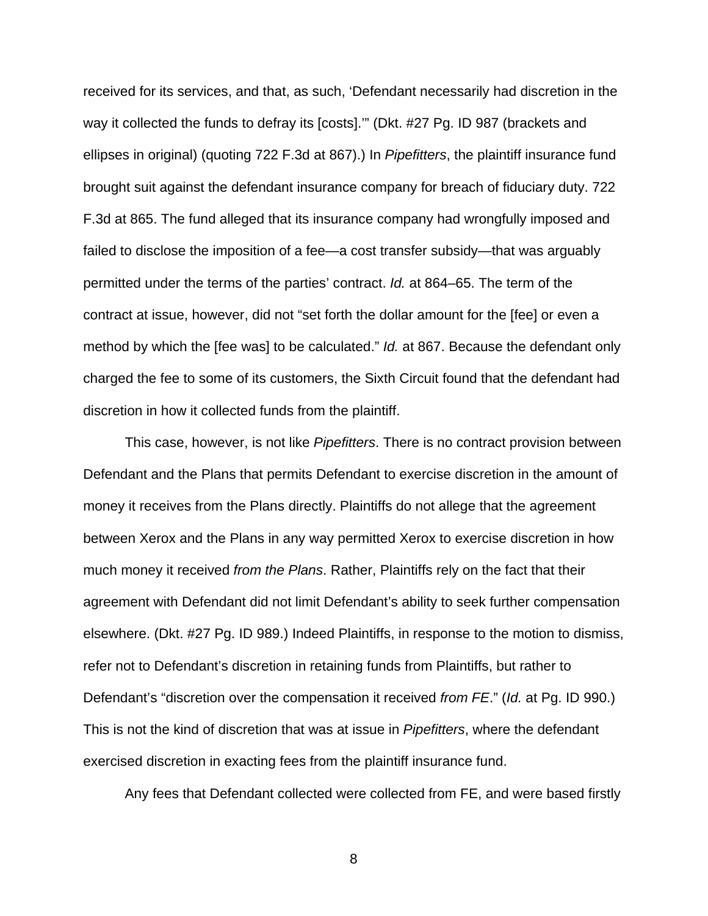received for its services, and that, as such, 'Defendant necessarily had discretion in the way it collected the funds to defray its [costs].'" (Dkt. #27 Pg. ID 987 (brackets and ellipses in original) (quoting 722 F.3d at 867).) In Pipefitters, the plaintiff insurance fund brought suit against the defendant insurance company for breach of fiduciary duty. 722 F.3d at 865. The fund alleged that its insurance company had wrongfully imposed and failed to disclose the imposition of a fee—a cost transfer subsidy—that was arguably permitted under the terms of the parties' contract. Id. at 864–65. The term of the contract at issue, however, did not "set forth the dollar amount for the [fee] or even a method by which the [fee was] to be calculated." Id. at 867. Because the defendant only charged the fee to some of its customers, the Sixth Circuit found that the defendant had discretion in how it collected funds from the plaintiff.

This case, however, is not like *Pipefitters*. There is no contract provision between Defendant and the Plans that permits Defendant to exercise discretion in the amount of money it receives from the Plans directly. Plaintiffs do not allege that the agreement between Xerox and the Plans in any way permitted Xerox to exercise discretion in how much money it received from the Plans. Rather, Plaintiffs rely on the fact that their agreement with Defendant did not limit Defendant's ability to seek further compensation elsewhere. (Dkt. #27 Pg. ID 989.) Indeed Plaintiffs, in response to the motion to dismiss, refer not to Defendant's discretion in retaining funds from Plaintiffs, but rather to Defendant's "discretion over the compensation it received from FE." (Id. at Pg. ID 990.) This is not the kind of discretion that was at issue in *Pipefitters*, where the defendant exercised discretion in exacting fees from the plaintiff insurance fund.

Any fees that Defendant collected were collected from FE, and were based firstly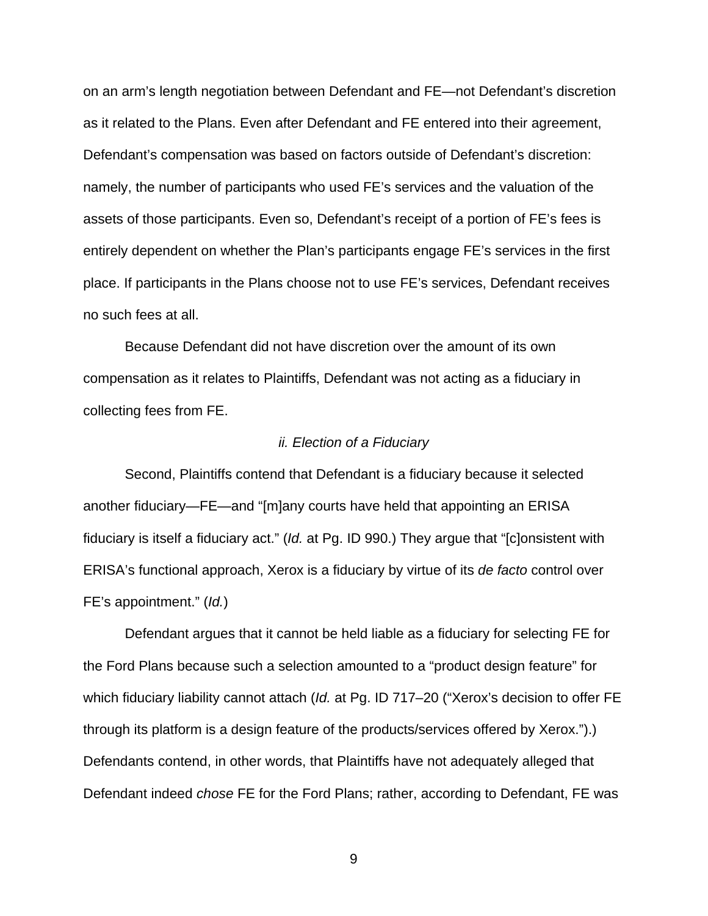on an arm's length negotiation between Defendant and FE—not Defendant's discretion as it related to the Plans. Even after Defendant and FE entered into their agreement, Defendant's compensation was based on factors outside of Defendant's discretion: namely, the number of participants who used FE's services and the valuation of the assets of those participants. Even so, Defendant's receipt of a portion of FE's fees is entirely dependent on whether the Plan's participants engage FE's services in the first place. If participants in the Plans choose not to use FE's services, Defendant receives no such fees at all.

 Because Defendant did not have discretion over the amount of its own compensation as it relates to Plaintiffs, Defendant was not acting as a fiduciary in collecting fees from FE.

#### ii. Election of a Fiduciary

 Second, Plaintiffs contend that Defendant is a fiduciary because it selected another fiduciary—FE—and "[m]any courts have held that appointing an ERISA fiduciary is itself a fiduciary act." (Id. at Pg. ID 990.) They argue that "[c]onsistent with ERISA's functional approach, Xerox is a fiduciary by virtue of its de facto control over FE's appointment." (Id.)

 Defendant argues that it cannot be held liable as a fiduciary for selecting FE for the Ford Plans because such a selection amounted to a "product design feature" for which fiduciary liability cannot attach (Id. at Pg. ID 717–20 ("Xerox's decision to offer FE through its platform is a design feature of the products/services offered by Xerox.").) Defendants contend, in other words, that Plaintiffs have not adequately alleged that Defendant indeed chose FE for the Ford Plans; rather, according to Defendant, FE was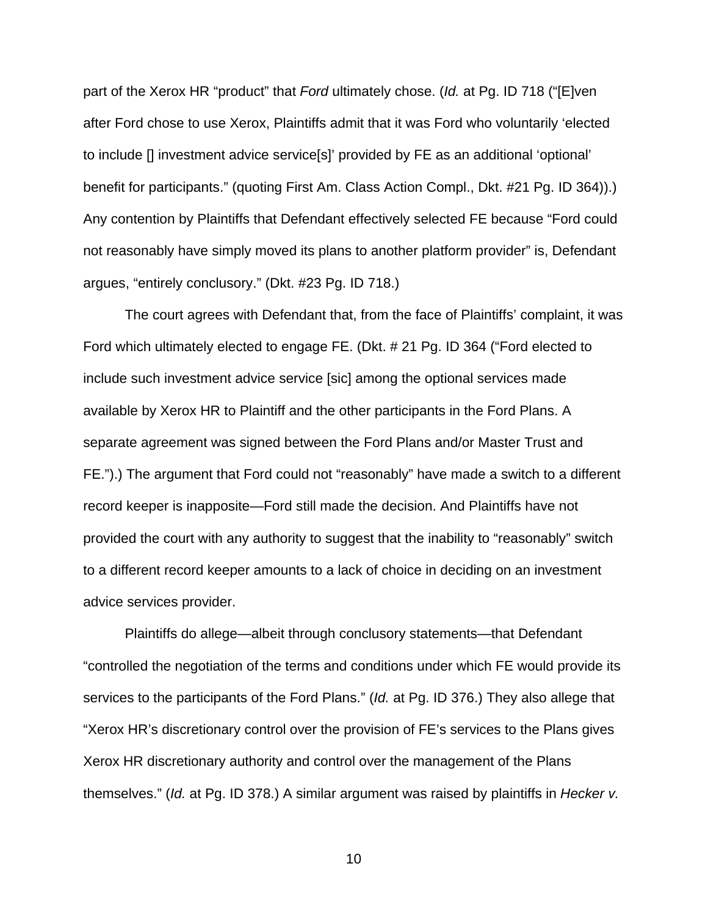part of the Xerox HR "product" that Ford ultimately chose. (Id. at Pg. ID 718 ("[E]ven after Ford chose to use Xerox, Plaintiffs admit that it was Ford who voluntarily 'elected to include [] investment advice service[s]' provided by FE as an additional 'optional' benefit for participants." (quoting First Am. Class Action Compl., Dkt. #21 Pg. ID 364)).) Any contention by Plaintiffs that Defendant effectively selected FE because "Ford could not reasonably have simply moved its plans to another platform provider" is, Defendant argues, "entirely conclusory." (Dkt. #23 Pg. ID 718.)

 The court agrees with Defendant that, from the face of Plaintiffs' complaint, it was Ford which ultimately elected to engage FE. (Dkt. # 21 Pg. ID 364 ("Ford elected to include such investment advice service [sic] among the optional services made available by Xerox HR to Plaintiff and the other participants in the Ford Plans. A separate agreement was signed between the Ford Plans and/or Master Trust and FE.").) The argument that Ford could not "reasonably" have made a switch to a different record keeper is inapposite—Ford still made the decision. And Plaintiffs have not provided the court with any authority to suggest that the inability to "reasonably" switch to a different record keeper amounts to a lack of choice in deciding on an investment advice services provider.

 Plaintiffs do allege—albeit through conclusory statements—that Defendant "controlled the negotiation of the terms and conditions under which FE would provide its services to the participants of the Ford Plans." (Id. at Pg. ID 376.) They also allege that "Xerox HR's discretionary control over the provision of FE's services to the Plans gives Xerox HR discretionary authority and control over the management of the Plans themselves." (Id. at Pg. ID 378.) A similar argument was raised by plaintiffs in Hecker v.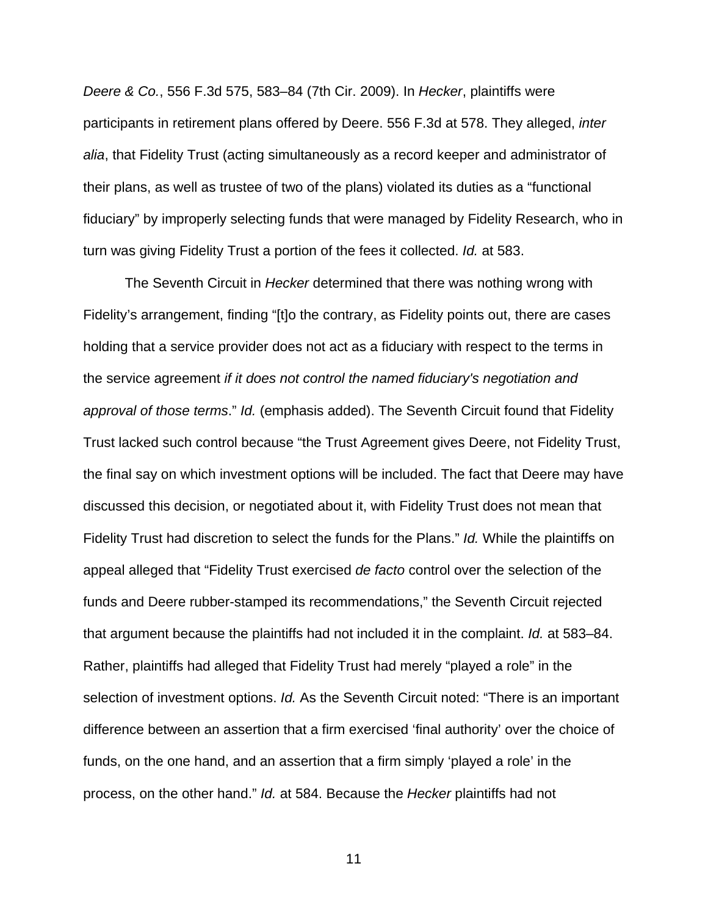Deere & Co., 556 F.3d 575, 583–84 (7th Cir. 2009). In Hecker, plaintiffs were participants in retirement plans offered by Deere. 556 F.3d at 578. They alleged, inter alia, that Fidelity Trust (acting simultaneously as a record keeper and administrator of their plans, as well as trustee of two of the plans) violated its duties as a "functional fiduciary" by improperly selecting funds that were managed by Fidelity Research, who in turn was giving Fidelity Trust a portion of the fees it collected. *Id.* at 583.

The Seventh Circuit in Hecker determined that there was nothing wrong with Fidelity's arrangement, finding "[t]o the contrary, as Fidelity points out, there are cases holding that a service provider does not act as a fiduciary with respect to the terms in the service agreement if it does not control the named fiduciary's negotiation and approval of those terms." Id. (emphasis added). The Seventh Circuit found that Fidelity Trust lacked such control because "the Trust Agreement gives Deere, not Fidelity Trust, the final say on which investment options will be included. The fact that Deere may have discussed this decision, or negotiated about it, with Fidelity Trust does not mean that Fidelity Trust had discretion to select the funds for the Plans." Id. While the plaintiffs on appeal alleged that "Fidelity Trust exercised de facto control over the selection of the funds and Deere rubber-stamped its recommendations," the Seventh Circuit rejected that argument because the plaintiffs had not included it in the complaint. Id. at 583–84. Rather, plaintiffs had alleged that Fidelity Trust had merely "played a role" in the selection of investment options. Id. As the Seventh Circuit noted: "There is an important difference between an assertion that a firm exercised 'final authority' over the choice of funds, on the one hand, and an assertion that a firm simply 'played a role' in the process, on the other hand." Id. at 584. Because the Hecker plaintiffs had not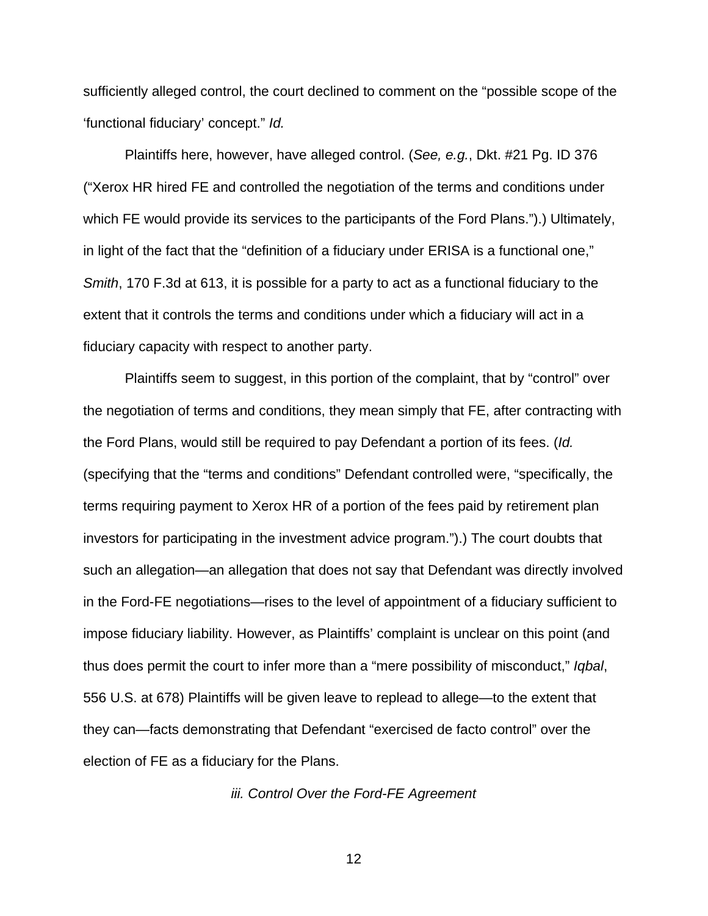sufficiently alleged control, the court declined to comment on the "possible scope of the 'functional fiduciary' concept." Id.

 Plaintiffs here, however, have alleged control. (See, e.g., Dkt. #21 Pg. ID 376 ("Xerox HR hired FE and controlled the negotiation of the terms and conditions under which FE would provide its services to the participants of the Ford Plans.").) Ultimately, in light of the fact that the "definition of a fiduciary under ERISA is a functional one," Smith, 170 F.3d at 613, it is possible for a party to act as a functional fiduciary to the extent that it controls the terms and conditions under which a fiduciary will act in a fiduciary capacity with respect to another party.

 Plaintiffs seem to suggest, in this portion of the complaint, that by "control" over the negotiation of terms and conditions, they mean simply that FE, after contracting with the Ford Plans, would still be required to pay Defendant a portion of its fees. (Id. (specifying that the "terms and conditions" Defendant controlled were, "specifically, the terms requiring payment to Xerox HR of a portion of the fees paid by retirement plan investors for participating in the investment advice program.").) The court doubts that such an allegation—an allegation that does not say that Defendant was directly involved in the Ford-FE negotiations—rises to the level of appointment of a fiduciary sufficient to impose fiduciary liability. However, as Plaintiffs' complaint is unclear on this point (and thus does permit the court to infer more than a "mere possibility of misconduct," Iqbal, 556 U.S. at 678) Plaintiffs will be given leave to replead to allege—to the extent that they can—facts demonstrating that Defendant "exercised de facto control" over the election of FE as a fiduciary for the Plans.

iii. Control Over the Ford-FE Agreement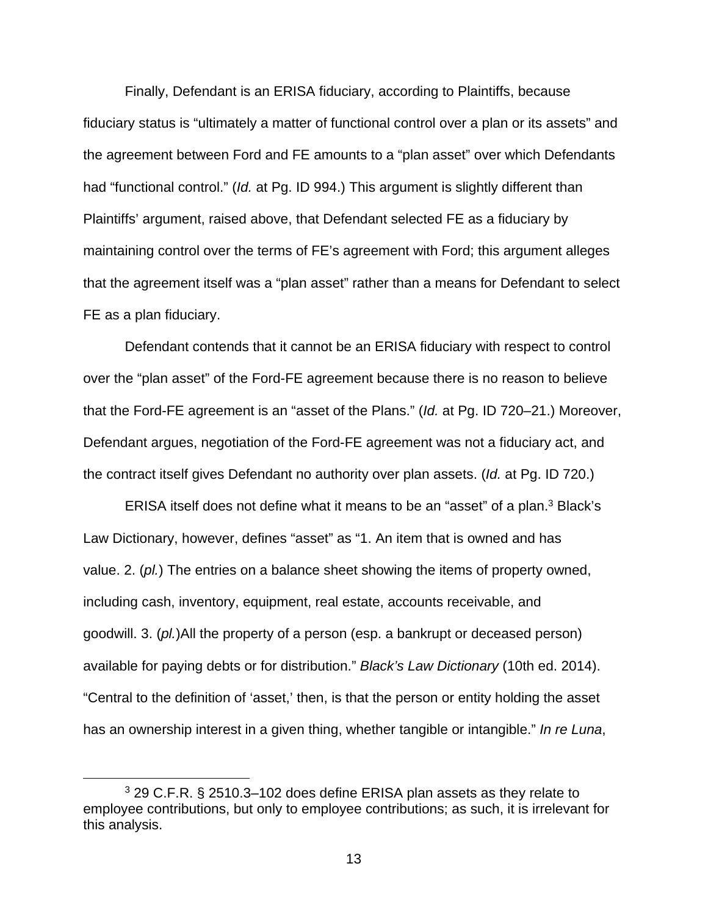Finally, Defendant is an ERISA fiduciary, according to Plaintiffs, because fiduciary status is "ultimately a matter of functional control over a plan or its assets" and the agreement between Ford and FE amounts to a "plan asset" over which Defendants had "functional control." (*Id.* at Pg. ID 994.) This argument is slightly different than Plaintiffs' argument, raised above, that Defendant selected FE as a fiduciary by maintaining control over the terms of FE's agreement with Ford; this argument alleges that the agreement itself was a "plan asset" rather than a means for Defendant to select FE as a plan fiduciary.

 Defendant contends that it cannot be an ERISA fiduciary with respect to control over the "plan asset" of the Ford-FE agreement because there is no reason to believe that the Ford-FE agreement is an "asset of the Plans." (Id. at Pg. ID 720–21.) Moreover, Defendant argues, negotiation of the Ford-FE agreement was not a fiduciary act, and the contract itself gives Defendant no authority over plan assets. (Id. at Pg. ID 720.)

ERISA itself does not define what it means to be an "asset" of a plan.<sup>3</sup> Black's Law Dictionary, however, defines "asset" as "1. An item that is owned and has value. 2. ( $p$ ). The entries on a balance sheet showing the items of property owned, including cash, inventory, equipment, real estate, accounts receivable, and goodwill. 3. (pl.)All the property of a person (esp. a bankrupt or deceased person) available for paying debts or for distribution." Black's Law Dictionary (10th ed. 2014). "Central to the definition of 'asset,' then, is that the person or entity holding the asset has an ownership interest in a given thing, whether tangible or intangible." In re Luna,

 $\overline{a}$ 

 $3$  29 C.F.R. § 2510.3–102 does define ERISA plan assets as they relate to employee contributions, but only to employee contributions; as such, it is irrelevant for this analysis.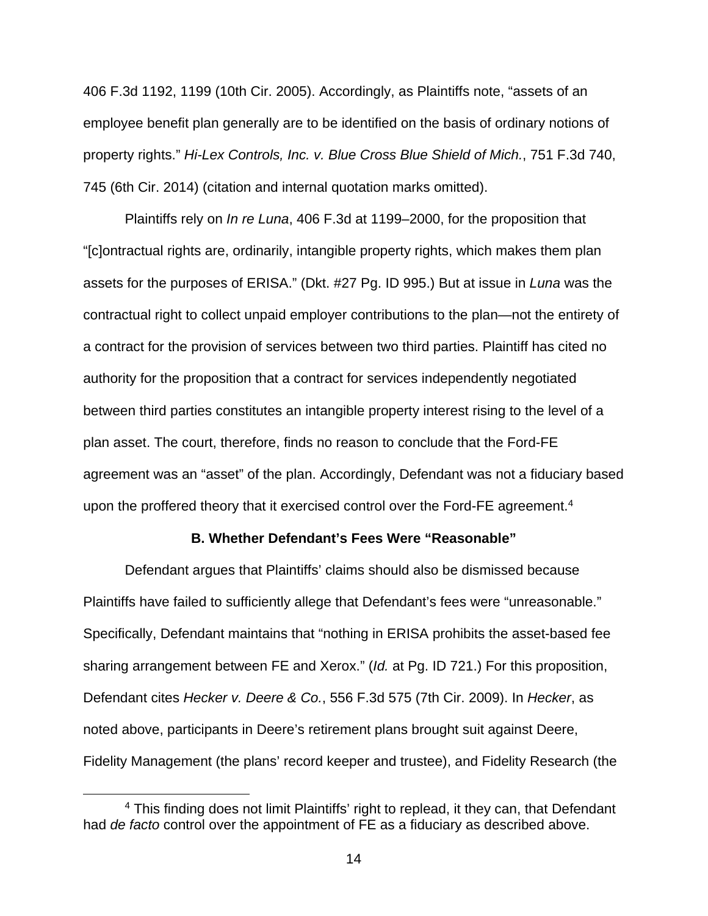406 F.3d 1192, 1199 (10th Cir. 2005). Accordingly, as Plaintiffs note, "assets of an employee benefit plan generally are to be identified on the basis of ordinary notions of property rights." Hi-Lex Controls, Inc. v. Blue Cross Blue Shield of Mich., 751 F.3d 740, 745 (6th Cir. 2014) (citation and internal quotation marks omitted).

 Plaintiffs rely on In re Luna, 406 F.3d at 1199–2000, for the proposition that "[c]ontractual rights are, ordinarily, intangible property rights, which makes them plan assets for the purposes of ERISA." (Dkt. #27 Pg. ID 995.) But at issue in Luna was the contractual right to collect unpaid employer contributions to the plan—not the entirety of a contract for the provision of services between two third parties. Plaintiff has cited no authority for the proposition that a contract for services independently negotiated between third parties constitutes an intangible property interest rising to the level of a plan asset. The court, therefore, finds no reason to conclude that the Ford-FE agreement was an "asset" of the plan. Accordingly, Defendant was not a fiduciary based upon the proffered theory that it exercised control over the Ford-FE agreement.<sup>4</sup>

### **B. Whether Defendant's Fees Were "Reasonable"**

 Defendant argues that Plaintiffs' claims should also be dismissed because Plaintiffs have failed to sufficiently allege that Defendant's fees were "unreasonable." Specifically, Defendant maintains that "nothing in ERISA prohibits the asset-based fee sharing arrangement between FE and Xerox." (Id. at Pg. ID 721.) For this proposition, Defendant cites Hecker v. Deere & Co., 556 F.3d 575 (7th Cir. 2009). In Hecker, as noted above, participants in Deere's retirement plans brought suit against Deere, Fidelity Management (the plans' record keeper and trustee), and Fidelity Research (the

<u>.</u>

<sup>&</sup>lt;sup>4</sup> This finding does not limit Plaintiffs' right to replead, it they can, that Defendant had de facto control over the appointment of FE as a fiduciary as described above.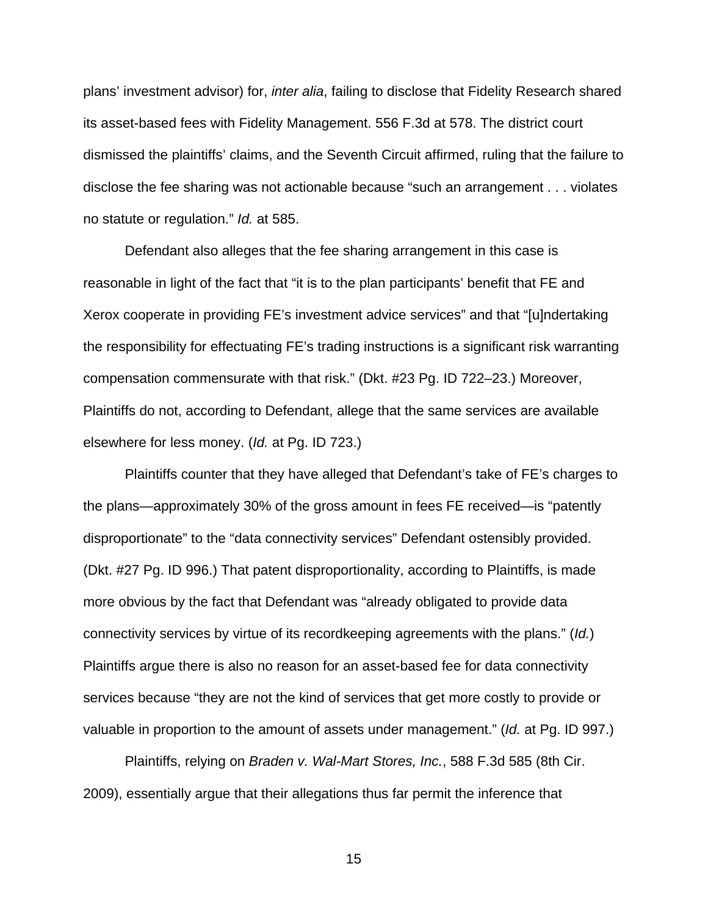plans' investment advisor) for, inter alia, failing to disclose that Fidelity Research shared its asset-based fees with Fidelity Management. 556 F.3d at 578. The district court dismissed the plaintiffs' claims, and the Seventh Circuit affirmed, ruling that the failure to disclose the fee sharing was not actionable because "such an arrangement . . . violates no statute or regulation." Id. at 585.

Defendant also alleges that the fee sharing arrangement in this case is reasonable in light of the fact that "it is to the plan participants' benefit that FE and Xerox cooperate in providing FE's investment advice services" and that "[u]ndertaking the responsibility for effectuating FE's trading instructions is a significant risk warranting compensation commensurate with that risk." (Dkt. #23 Pg. ID 722–23.) Moreover, Plaintiffs do not, according to Defendant, allege that the same services are available elsewhere for less money. (Id. at Pg. ID 723.)

 Plaintiffs counter that they have alleged that Defendant's take of FE's charges to the plans—approximately 30% of the gross amount in fees FE received—is "patently disproportionate" to the "data connectivity services" Defendant ostensibly provided. (Dkt. #27 Pg. ID 996.) That patent disproportionality, according to Plaintiffs, is made more obvious by the fact that Defendant was "already obligated to provide data connectivity services by virtue of its recordkeeping agreements with the plans." (Id.) Plaintiffs argue there is also no reason for an asset-based fee for data connectivity services because "they are not the kind of services that get more costly to provide or valuable in proportion to the amount of assets under management." (Id. at Pg. ID 997.)

 Plaintiffs, relying on Braden v. Wal-Mart Stores, Inc., 588 F.3d 585 (8th Cir. 2009), essentially argue that their allegations thus far permit the inference that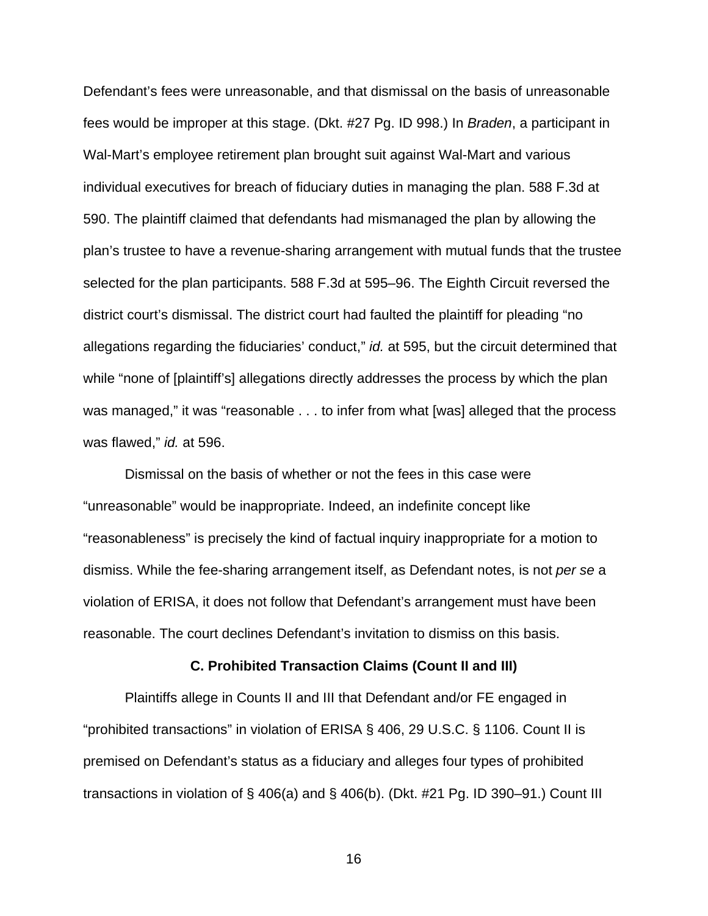Defendant's fees were unreasonable, and that dismissal on the basis of unreasonable fees would be improper at this stage. (Dkt. #27 Pg. ID 998.) In Braden, a participant in Wal-Mart's employee retirement plan brought suit against Wal-Mart and various individual executives for breach of fiduciary duties in managing the plan. 588 F.3d at 590. The plaintiff claimed that defendants had mismanaged the plan by allowing the plan's trustee to have a revenue-sharing arrangement with mutual funds that the trustee selected for the plan participants. 588 F.3d at 595–96. The Eighth Circuit reversed the district court's dismissal. The district court had faulted the plaintiff for pleading "no allegations regarding the fiduciaries' conduct," *id.* at 595, but the circuit determined that while "none of [plaintiff's] allegations directly addresses the process by which the plan was managed," it was "reasonable . . . to infer from what [was] alleged that the process was flawed," *id.* at 596.

 Dismissal on the basis of whether or not the fees in this case were "unreasonable" would be inappropriate. Indeed, an indefinite concept like "reasonableness" is precisely the kind of factual inquiry inappropriate for a motion to dismiss. While the fee-sharing arrangement itself, as Defendant notes, is not per se a violation of ERISA, it does not follow that Defendant's arrangement must have been reasonable. The court declines Defendant's invitation to dismiss on this basis.

#### **C. Prohibited Transaction Claims (Count II and III)**

 Plaintiffs allege in Counts II and III that Defendant and/or FE engaged in "prohibited transactions" in violation of ERISA § 406, 29 U.S.C. § 1106. Count II is premised on Defendant's status as a fiduciary and alleges four types of prohibited transactions in violation of § 406(a) and § 406(b). (Dkt. #21 Pg. ID 390–91.) Count III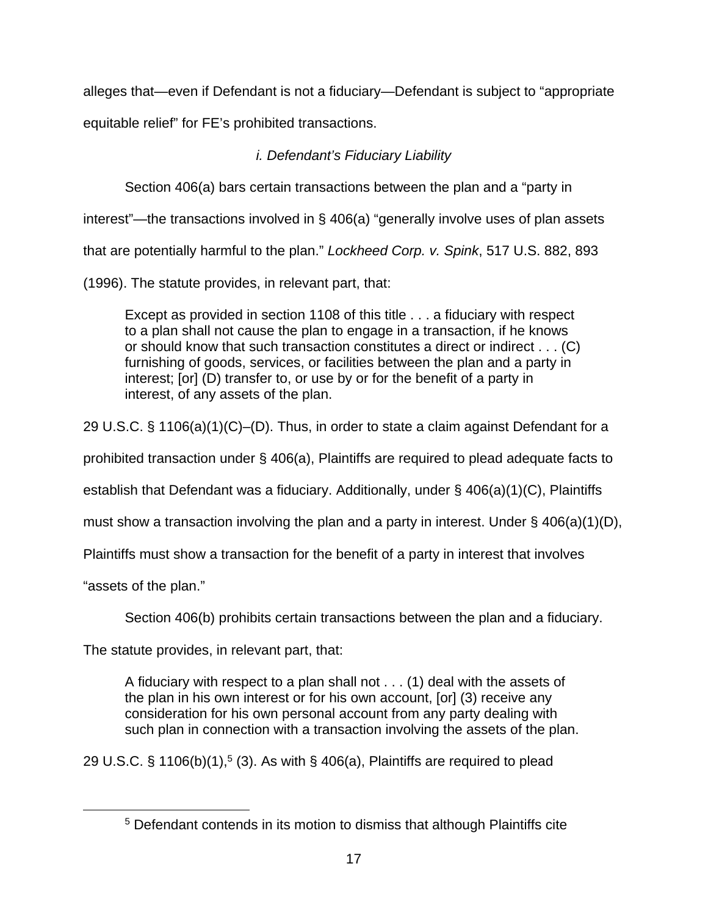alleges that—even if Defendant is not a fiduciary—Defendant is subject to "appropriate

equitable relief" for FE's prohibited transactions.

# i. Defendant's Fiduciary Liability

Section 406(a) bars certain transactions between the plan and a "party in

interest"—the transactions involved in § 406(a) "generally involve uses of plan assets

that are potentially harmful to the plan." Lockheed Corp. v. Spink, 517 U.S. 882, 893

(1996). The statute provides, in relevant part, that:

Except as provided in section 1108 of this title . . . a fiduciary with respect to a plan shall not cause the plan to engage in a transaction, if he knows or should know that such transaction constitutes a direct or indirect . . . (C) furnishing of goods, services, or facilities between the plan and a party in interest; [or] (D) transfer to, or use by or for the benefit of a party in interest, of any assets of the plan.

29 U.S.C. § 1106(a)(1)(C)–(D). Thus, in order to state a claim against Defendant for a

prohibited transaction under § 406(a), Plaintiffs are required to plead adequate facts to

establish that Defendant was a fiduciary. Additionally, under § 406(a)(1)(C), Plaintiffs

must show a transaction involving the plan and a party in interest. Under  $\S$  406(a)(1)(D),

Plaintiffs must show a transaction for the benefit of a party in interest that involves

"assets of the plan."

 $\overline{a}$ 

Section 406(b) prohibits certain transactions between the plan and a fiduciary.

The statute provides, in relevant part, that:

A fiduciary with respect to a plan shall not . . . (1) deal with the assets of the plan in his own interest or for his own account, [or] (3) receive any consideration for his own personal account from any party dealing with such plan in connection with a transaction involving the assets of the plan.

29 U.S.C. § 1106(b)(1),<sup>5</sup> (3). As with § 406(a), Plaintiffs are required to plead

<sup>&</sup>lt;sup>5</sup> Defendant contends in its motion to dismiss that although Plaintiffs cite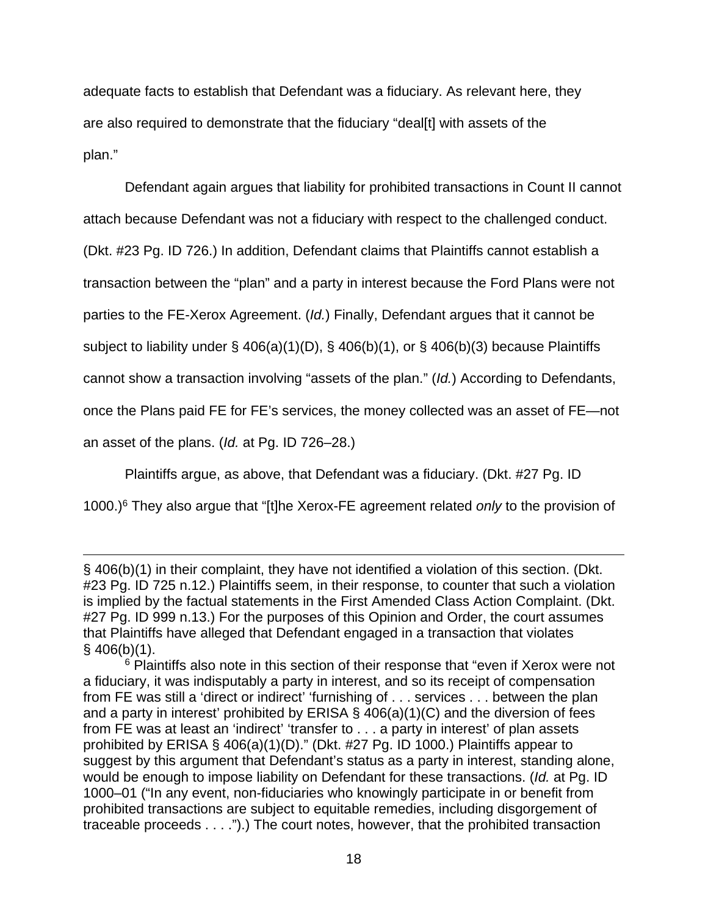adequate facts to establish that Defendant was a fiduciary. As relevant here, they are also required to demonstrate that the fiduciary "deal[t] with assets of the plan."

Defendant again argues that liability for prohibited transactions in Count II cannot

attach because Defendant was not a fiduciary with respect to the challenged conduct.

(Dkt. #23 Pg. ID 726.) In addition, Defendant claims that Plaintiffs cannot establish a

transaction between the "plan" and a party in interest because the Ford Plans were not

parties to the FE-Xerox Agreement. (Id.) Finally, Defendant argues that it cannot be

subject to liability under § 406(a)(1)(D), § 406(b)(1), or § 406(b)(3) because Plaintiffs

cannot show a transaction involving "assets of the plan." (Id.) According to Defendants,

once the Plans paid FE for FE's services, the money collected was an asset of FE—not

an asset of the plans. (Id. at Pg. ID 726–28.)

 $\overline{a}$ 

Plaintiffs argue, as above, that Defendant was a fiduciary. (Dkt. #27 Pg. ID

1000.)<sup>6</sup> They also argue that "[t]he Xerox-FE agreement related only to the provision of

<sup>§ 406(</sup>b)(1) in their complaint, they have not identified a violation of this section. (Dkt. #23 Pg. ID 725 n.12.) Plaintiffs seem, in their response, to counter that such a violation is implied by the factual statements in the First Amended Class Action Complaint. (Dkt. #27 Pg. ID 999 n.13.) For the purposes of this Opinion and Order, the court assumes that Plaintiffs have alleged that Defendant engaged in a transaction that violates  $§$  406(b)(1).

<sup>&</sup>lt;sup>6</sup> Plaintiffs also note in this section of their response that "even if Xerox were not a fiduciary, it was indisputably a party in interest, and so its receipt of compensation from FE was still a 'direct or indirect' 'furnishing of . . . services . . . between the plan and a party in interest' prohibited by ERISA  $\S$  406(a)(1)(C) and the diversion of fees from FE was at least an 'indirect' 'transfer to . . . a party in interest' of plan assets prohibited by ERISA § 406(a)(1)(D)." (Dkt. #27 Pg. ID 1000.) Plaintiffs appear to suggest by this argument that Defendant's status as a party in interest, standing alone, would be enough to impose liability on Defendant for these transactions. (Id. at Pg. ID 1000–01 ("In any event, non-fiduciaries who knowingly participate in or benefit from prohibited transactions are subject to equitable remedies, including disgorgement of traceable proceeds . . . .").) The court notes, however, that the prohibited transaction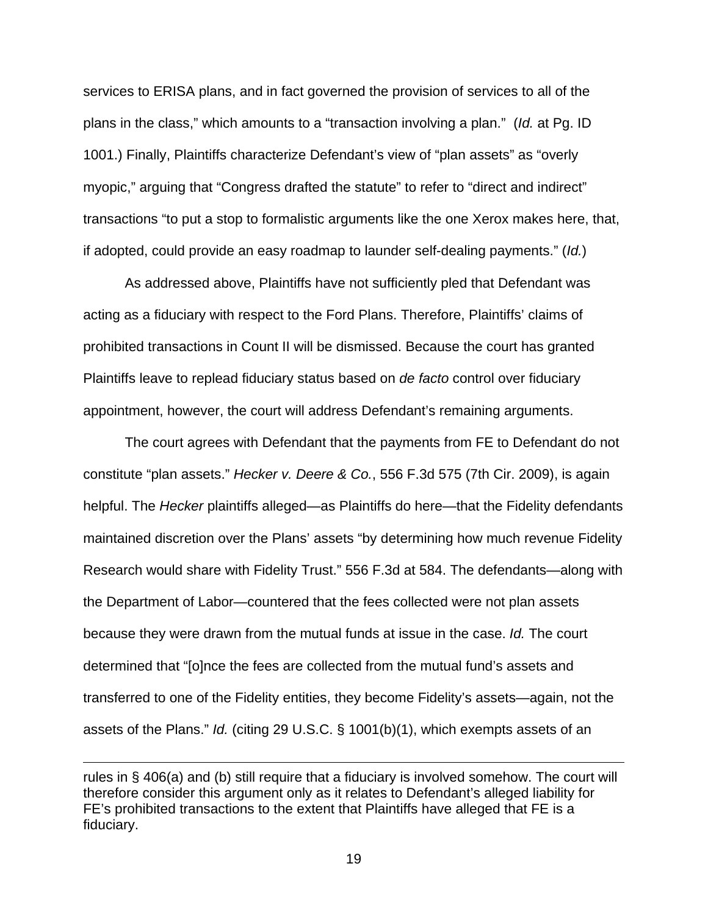services to ERISA plans, and in fact governed the provision of services to all of the plans in the class," which amounts to a "transaction involving a plan." (Id. at Pg. ID 1001.) Finally, Plaintiffs characterize Defendant's view of "plan assets" as "overly myopic," arguing that "Congress drafted the statute" to refer to "direct and indirect" transactions "to put a stop to formalistic arguments like the one Xerox makes here, that, if adopted, could provide an easy roadmap to launder self-dealing payments." (Id.)

 As addressed above, Plaintiffs have not sufficiently pled that Defendant was acting as a fiduciary with respect to the Ford Plans. Therefore, Plaintiffs' claims of prohibited transactions in Count II will be dismissed. Because the court has granted Plaintiffs leave to replead fiduciary status based on de facto control over fiduciary appointment, however, the court will address Defendant's remaining arguments.

 The court agrees with Defendant that the payments from FE to Defendant do not constitute "plan assets." Hecker v. Deere & Co., 556 F.3d 575 (7th Cir. 2009), is again helpful. The Hecker plaintiffs alleged—as Plaintiffs do here—that the Fidelity defendants maintained discretion over the Plans' assets "by determining how much revenue Fidelity Research would share with Fidelity Trust." 556 F.3d at 584. The defendants—along with the Department of Labor—countered that the fees collected were not plan assets because they were drawn from the mutual funds at issue in the case. Id. The court determined that "[o]nce the fees are collected from the mutual fund's assets and transferred to one of the Fidelity entities, they become Fidelity's assets—again, not the assets of the Plans." Id. (citing 29 U.S.C. § 1001(b)(1), which exempts assets of an

<u>.</u>

rules in § 406(a) and (b) still require that a fiduciary is involved somehow. The court will therefore consider this argument only as it relates to Defendant's alleged liability for FE's prohibited transactions to the extent that Plaintiffs have alleged that FE is a fiduciary.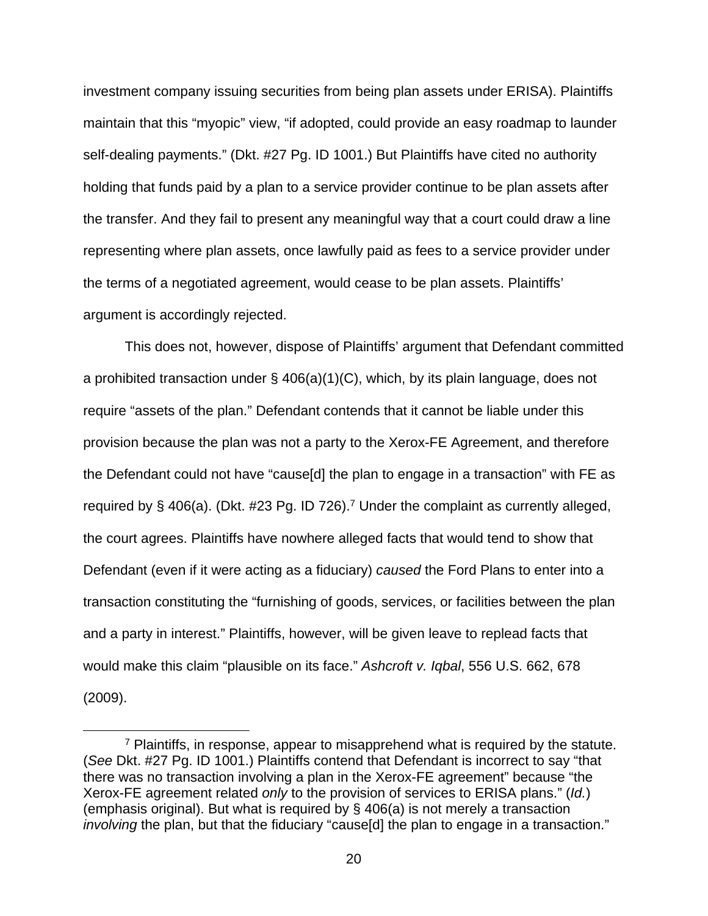investment company issuing securities from being plan assets under ERISA). Plaintiffs maintain that this "myopic" view, "if adopted, could provide an easy roadmap to launder self-dealing payments." (Dkt. #27 Pg. ID 1001.) But Plaintiffs have cited no authority holding that funds paid by a plan to a service provider continue to be plan assets after the transfer. And they fail to present any meaningful way that a court could draw a line representing where plan assets, once lawfully paid as fees to a service provider under the terms of a negotiated agreement, would cease to be plan assets. Plaintiffs' argument is accordingly rejected.

 This does not, however, dispose of Plaintiffs' argument that Defendant committed a prohibited transaction under  $\S$  406(a)(1)(C), which, by its plain language, does not require "assets of the plan." Defendant contends that it cannot be liable under this provision because the plan was not a party to the Xerox-FE Agreement, and therefore the Defendant could not have "cause[d] the plan to engage in a transaction" with FE as required by § 406(a). (Dkt. #23 Pg. ID 726).<sup>7</sup> Under the complaint as currently alleged, the court agrees. Plaintiffs have nowhere alleged facts that would tend to show that Defendant (even if it were acting as a fiduciary) caused the Ford Plans to enter into a transaction constituting the "furnishing of goods, services, or facilities between the plan and a party in interest." Plaintiffs, however, will be given leave to replead facts that would make this claim "plausible on its face." Ashcroft v. Iqbal, 556 U.S. 662, 678 (2009).

 $\overline{a}$ 

<sup>&</sup>lt;sup>7</sup> Plaintiffs, in response, appear to misapprehend what is required by the statute. (See Dkt. #27 Pg. ID 1001.) Plaintiffs contend that Defendant is incorrect to say "that there was no transaction involving a plan in the Xerox-FE agreement" because "the Xerox-FE agreement related only to the provision of services to ERISA plans." (Id.) (emphasis original). But what is required by § 406(a) is not merely a transaction involving the plan, but that the fiduciary "cause[d] the plan to engage in a transaction."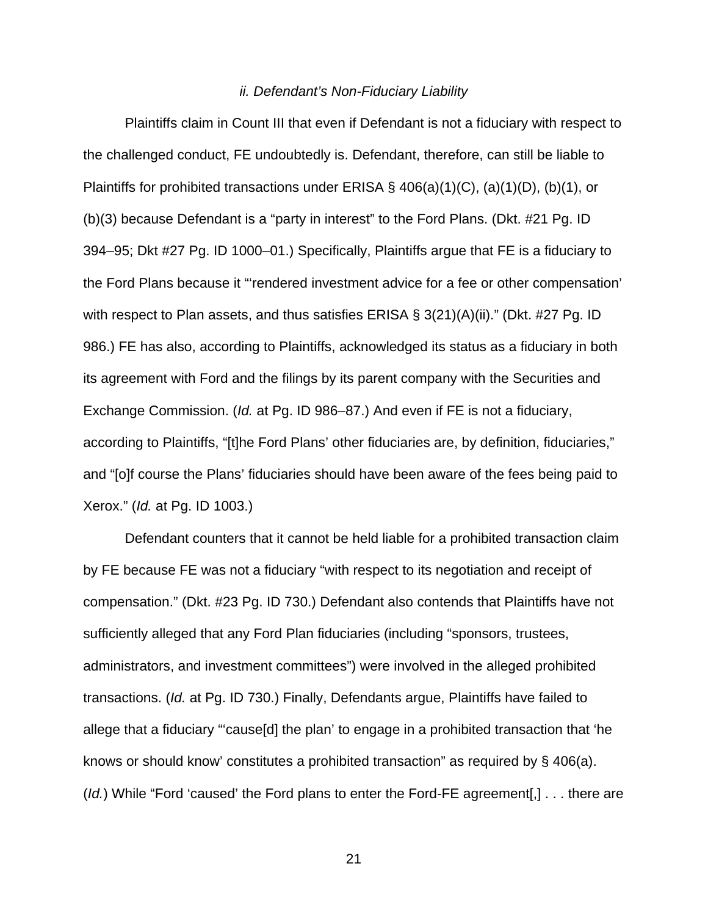#### ii. Defendant's Non-Fiduciary Liability

 Plaintiffs claim in Count III that even if Defendant is not a fiduciary with respect to the challenged conduct, FE undoubtedly is. Defendant, therefore, can still be liable to Plaintiffs for prohibited transactions under ERISA § 406(a)(1)(C), (a)(1)(D), (b)(1), or (b)(3) because Defendant is a "party in interest" to the Ford Plans. (Dkt. #21 Pg. ID 394–95; Dkt #27 Pg. ID 1000–01.) Specifically, Plaintiffs argue that FE is a fiduciary to the Ford Plans because it "'rendered investment advice for a fee or other compensation' with respect to Plan assets, and thus satisfies ERISA § 3(21)(A)(ii)." (Dkt. #27 Pg. ID 986.) FE has also, according to Plaintiffs, acknowledged its status as a fiduciary in both its agreement with Ford and the filings by its parent company with the Securities and Exchange Commission. (Id. at Pg. ID 986–87.) And even if FE is not a fiduciary, according to Plaintiffs, "[t]he Ford Plans' other fiduciaries are, by definition, fiduciaries," and "[o]f course the Plans' fiduciaries should have been aware of the fees being paid to Xerox." (Id. at Pg. ID 1003.)

 Defendant counters that it cannot be held liable for a prohibited transaction claim by FE because FE was not a fiduciary "with respect to its negotiation and receipt of compensation." (Dkt. #23 Pg. ID 730.) Defendant also contends that Plaintiffs have not sufficiently alleged that any Ford Plan fiduciaries (including "sponsors, trustees, administrators, and investment committees") were involved in the alleged prohibited transactions. (Id. at Pg. ID 730.) Finally, Defendants argue, Plaintiffs have failed to allege that a fiduciary "'cause[d] the plan' to engage in a prohibited transaction that 'he knows or should know' constitutes a prohibited transaction" as required by § 406(a). (*Id.*) While "Ford 'caused' the Ford plans to enter the Ford-FE agreement[,] . . . there are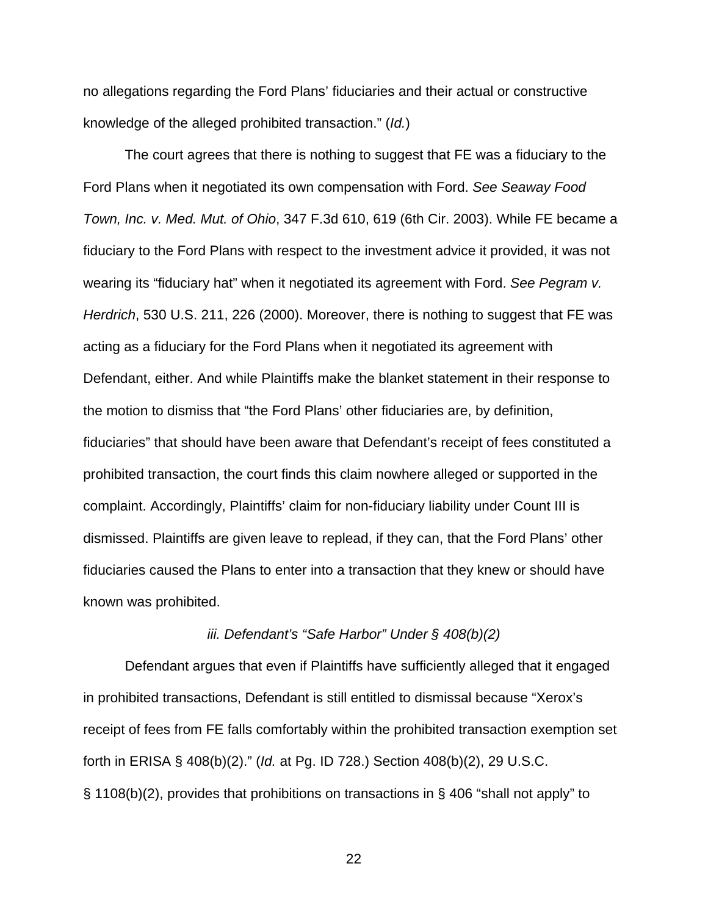no allegations regarding the Ford Plans' fiduciaries and their actual or constructive knowledge of the alleged prohibited transaction." (Id.)

 The court agrees that there is nothing to suggest that FE was a fiduciary to the Ford Plans when it negotiated its own compensation with Ford. See Seaway Food Town, Inc. v. Med. Mut. of Ohio, 347 F.3d 610, 619 (6th Cir. 2003). While FE became a fiduciary to the Ford Plans with respect to the investment advice it provided, it was not wearing its "fiduciary hat" when it negotiated its agreement with Ford. See Pegram v. Herdrich, 530 U.S. 211, 226 (2000). Moreover, there is nothing to suggest that FE was acting as a fiduciary for the Ford Plans when it negotiated its agreement with Defendant, either. And while Plaintiffs make the blanket statement in their response to the motion to dismiss that "the Ford Plans' other fiduciaries are, by definition, fiduciaries" that should have been aware that Defendant's receipt of fees constituted a prohibited transaction, the court finds this claim nowhere alleged or supported in the complaint. Accordingly, Plaintiffs' claim for non-fiduciary liability under Count III is dismissed. Plaintiffs are given leave to replead, if they can, that the Ford Plans' other fiduciaries caused the Plans to enter into a transaction that they knew or should have known was prohibited.

#### iii. Defendant's "Safe Harbor" Under § 408(b)(2)

 Defendant argues that even if Plaintiffs have sufficiently alleged that it engaged in prohibited transactions, Defendant is still entitled to dismissal because "Xerox's receipt of fees from FE falls comfortably within the prohibited transaction exemption set forth in ERISA § 408(b)(2)." (Id. at Pg. ID 728.) Section 408(b)(2), 29 U.S.C. § 1108(b)(2), provides that prohibitions on transactions in § 406 "shall not apply" to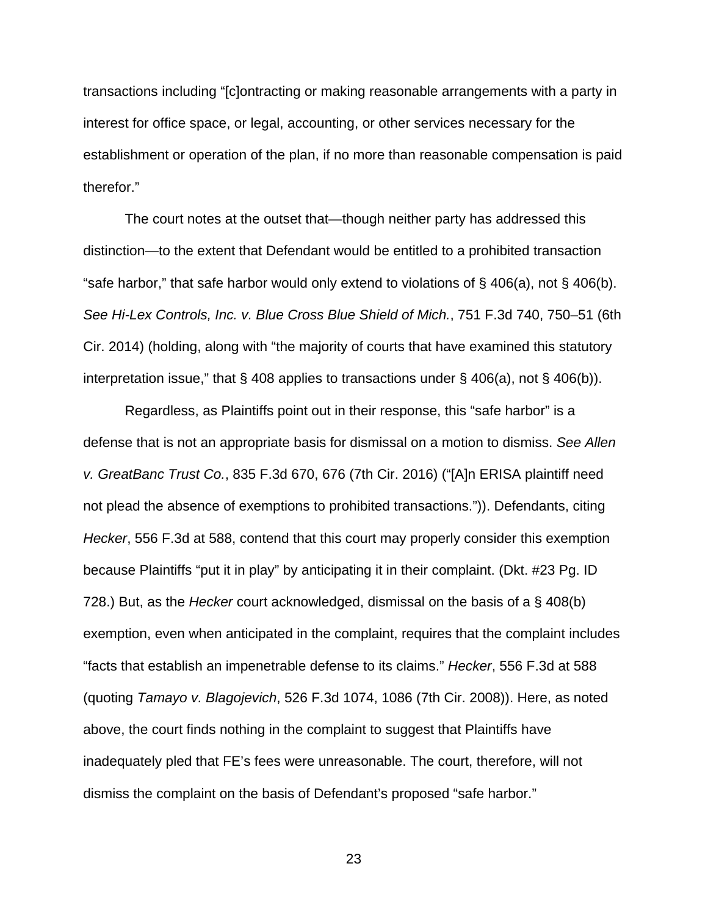transactions including "[c]ontracting or making reasonable arrangements with a party in interest for office space, or legal, accounting, or other services necessary for the establishment or operation of the plan, if no more than reasonable compensation is paid therefor."

 The court notes at the outset that—though neither party has addressed this distinction—to the extent that Defendant would be entitled to a prohibited transaction "safe harbor," that safe harbor would only extend to violations of  $\S$  406(a), not  $\S$  406(b). See Hi-Lex Controls, Inc. v. Blue Cross Blue Shield of Mich., 751 F.3d 740, 750–51 (6th Cir. 2014) (holding, along with "the majority of courts that have examined this statutory interpretation issue," that  $\S$  408 applies to transactions under  $\S$  406(a), not  $\S$  406(b)).

 Regardless, as Plaintiffs point out in their response, this "safe harbor" is a defense that is not an appropriate basis for dismissal on a motion to dismiss. See Allen v. GreatBanc Trust Co., 835 F.3d 670, 676 (7th Cir. 2016) ("[A]n ERISA plaintiff need not plead the absence of exemptions to prohibited transactions.")). Defendants, citing Hecker, 556 F.3d at 588, contend that this court may properly consider this exemption because Plaintiffs "put it in play" by anticipating it in their complaint. (Dkt. #23 Pg. ID 728.) But, as the Hecker court acknowledged, dismissal on the basis of a § 408(b) exemption, even when anticipated in the complaint, requires that the complaint includes "facts that establish an impenetrable defense to its claims." Hecker, 556 F.3d at 588 (quoting Tamayo v. Blagojevich, 526 F.3d 1074, 1086 (7th Cir. 2008)). Here, as noted above, the court finds nothing in the complaint to suggest that Plaintiffs have inadequately pled that FE's fees were unreasonable. The court, therefore, will not dismiss the complaint on the basis of Defendant's proposed "safe harbor."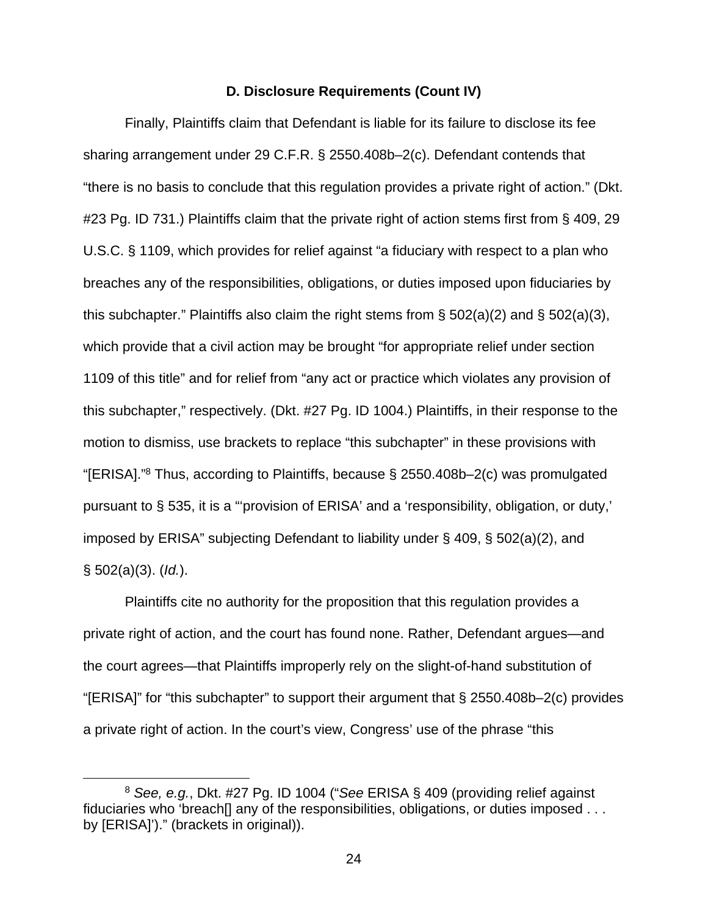#### **D. Disclosure Requirements (Count IV)**

 Finally, Plaintiffs claim that Defendant is liable for its failure to disclose its fee sharing arrangement under 29 C.F.R. § 2550.408b–2(c). Defendant contends that "there is no basis to conclude that this regulation provides a private right of action." (Dkt. #23 Pg. ID 731.) Plaintiffs claim that the private right of action stems first from § 409, 29 U.S.C. § 1109, which provides for relief against "a fiduciary with respect to a plan who breaches any of the responsibilities, obligations, or duties imposed upon fiduciaries by this subchapter." Plaintiffs also claim the right stems from  $\S$  502(a)(2) and  $\S$  502(a)(3), which provide that a civil action may be brought "for appropriate relief under section 1109 of this title" and for relief from "any act or practice which violates any provision of this subchapter," respectively. (Dkt. #27 Pg. ID 1004.) Plaintiffs, in their response to the motion to dismiss, use brackets to replace "this subchapter" in these provisions with "[ERISA]."<sup>8</sup> Thus, according to Plaintiffs, because § 2550.408b-2(c) was promulgated pursuant to § 535, it is a "'provision of ERISA' and a 'responsibility, obligation, or duty,' imposed by ERISA" subjecting Defendant to liability under § 409, § 502(a)(2), and  $§ 502(a)(3)$ . (*ld.*).

 Plaintiffs cite no authority for the proposition that this regulation provides a private right of action, and the court has found none. Rather, Defendant argues—and the court agrees—that Plaintiffs improperly rely on the slight-of-hand substitution of "[ERISA]" for "this subchapter" to support their argument that § 2550.408b–2(c) provides a private right of action. In the court's view, Congress' use of the phrase "this

 $\overline{a}$ 

<sup>&</sup>lt;sup>8</sup> See, e.g., Dkt. #27 Pg. ID 1004 ("See ERISA § 409 (providing relief against fiduciaries who 'breach<sup>[]</sup> any of the responsibilities, obligations, or duties imposed . . . by [ERISA]')." (brackets in original)).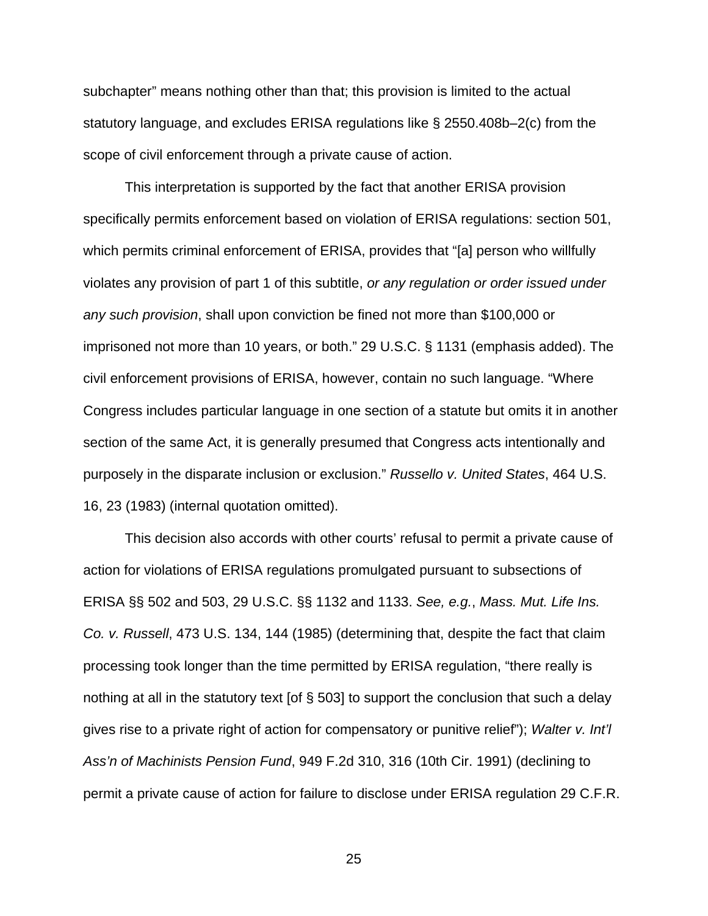subchapter" means nothing other than that; this provision is limited to the actual statutory language, and excludes ERISA regulations like § 2550.408b–2(c) from the scope of civil enforcement through a private cause of action.

 This interpretation is supported by the fact that another ERISA provision specifically permits enforcement based on violation of ERISA regulations: section 501, which permits criminal enforcement of ERISA, provides that "[a] person who willfully violates any provision of part 1 of this subtitle, or any regulation or order issued under any such provision, shall upon conviction be fined not more than \$100,000 or imprisoned not more than 10 years, or both." 29 U.S.C. § 1131 (emphasis added). The civil enforcement provisions of ERISA, however, contain no such language. "Where Congress includes particular language in one section of a statute but omits it in another section of the same Act, it is generally presumed that Congress acts intentionally and purposely in the disparate inclusion or exclusion." Russello v. United States, 464 U.S. 16, 23 (1983) (internal quotation omitted).

 This decision also accords with other courts' refusal to permit a private cause of action for violations of ERISA regulations promulgated pursuant to subsections of ERISA §§ 502 and 503, 29 U.S.C. §§ 1132 and 1133. See, e.g., Mass. Mut. Life Ins. Co. v. Russell, 473 U.S. 134, 144 (1985) (determining that, despite the fact that claim processing took longer than the time permitted by ERISA regulation, "there really is nothing at all in the statutory text [of § 503] to support the conclusion that such a delay gives rise to a private right of action for compensatory or punitive relief"); Walter v. Int'l Ass'n of Machinists Pension Fund, 949 F.2d 310, 316 (10th Cir. 1991) (declining to permit a private cause of action for failure to disclose under ERISA regulation 29 C.F.R.